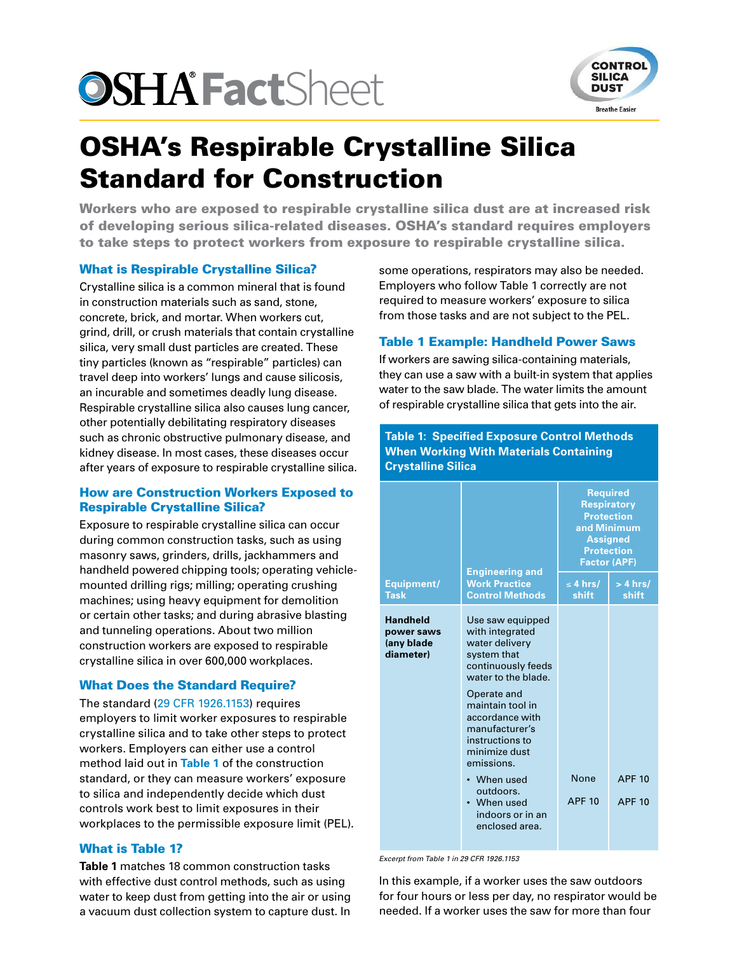# **OSHA FactSheet**



# OSHA's Respirable Crystalline Silica Standard for Construction

Workers who are exposed to respirable crystalline silica dust are at increased risk of developing serious silica-related diseases. OSHA's standard requires employers to take steps to protect workers from exposure to respirable crystalline silica.

## What is Respirable Crystalline Silica?

Crystalline silica is a common mineral that is found in construction materials such as sand, stone, concrete, brick, and mortar. When workers cut, grind, drill, or crush materials that contain crystalline silica, very small dust particles are created. These tiny particles (known as "respirable" particles) can travel deep into workers' lungs and cause silicosis, an incurable and sometimes deadly lung disease. Respirable crystalline silica also causes lung cancer, other potentially debilitating respiratory diseases such as chronic obstructive pulmonary disease, and kidney disease. In most cases, these diseases occur after years of exposure to respirable crystalline silica.

#### How are Construction Workers Exposed to Respirable Crystalline Silica?

Exposure to respirable crystalline silica can occur during common construction tasks, such as using masonry saws, grinders, drills, jackhammers and handheld powered chipping tools; operating vehiclemounted drilling rigs; milling; operating crushing machines; using heavy equipment for demolition or certain other tasks; and during abrasive blasting and tunneling operations. About two million construction workers are exposed to respirable crystalline silica in over 600,000 workplaces.

## What Does the Standard Require?

The standard ([29 CFR 1926.1153](https://www.osha.gov/silica/SilicaConstructionRegText.pdf)) requires employers to limit worker exposures to respirable crystalline silica and to take other steps to protect workers. Employers can either use a control method laid out in **[Table 1](http://blogs.cdc.gov/niosh-science-blog/2011/12/resp-nano)** of the construction standard, or they can measure workers' exposure to silica and independently decide which dust controls work best to limit exposures in their workplaces to the permissible exposure limit (PEL).

#### What is Table 1?

**Table 1** matches 18 common construction tasks with effective dust control methods, such as using water to keep dust from getting into the air or using a vacuum dust collection system to capture dust. In

some operations, respirators may also be needed. Employers who follow Table 1 correctly are not required to measure workers' exposure to silica from those tasks and are not subject to the PEL.

#### Table 1 Example: Handheld Power Saws

If workers are sawing silica-containing materials, they can use a saw with a built-in system that applies water to the saw blade. The water limits the amount of respirable crystalline silica that gets into the air.

**Table 1: Specified Exposure Control Methods When Working With Materials Containing Crystalline Silica**

|                                                          | <b>Engineering and</b>                                                                                                                                                                                                                                                                                                     | <b>Required</b><br><b>Respiratory</b><br><b>Protection</b><br>and Minimum<br><b>Assigned</b><br><b>Protection</b><br><b>Factor (APF)</b> |                                |
|----------------------------------------------------------|----------------------------------------------------------------------------------------------------------------------------------------------------------------------------------------------------------------------------------------------------------------------------------------------------------------------------|------------------------------------------------------------------------------------------------------------------------------------------|--------------------------------|
| Equipment/<br><b>Task</b>                                | <b>Work Practice</b><br><b>Control Methods</b>                                                                                                                                                                                                                                                                             | $\leq 4$ hrs/<br>shift                                                                                                                   | $> 4$ hrs/<br>shift            |
| <b>Handheld</b><br>power saws<br>(any blade<br>diameter) | Use saw equipped<br>with integrated<br>water delivery<br>system that<br>continuously feeds<br>water to the blade.<br>Operate and<br>maintain tool in<br>accordance with<br>manufacturer's<br>instructions to<br>minimize dust<br>emissions.<br>When used<br>outdoors.<br>• When used<br>indoors or in an<br>enclosed area. | <b>None</b><br><b>APF 10</b>                                                                                                             | <b>APF 10</b><br><b>APF 10</b> |

*Excerpt from Table 1 in 29 CFR 1926.1153*

In this example, if a worker uses the saw outdoors for four hours or less per day, no respirator would be needed. If a worker uses the saw for more than four